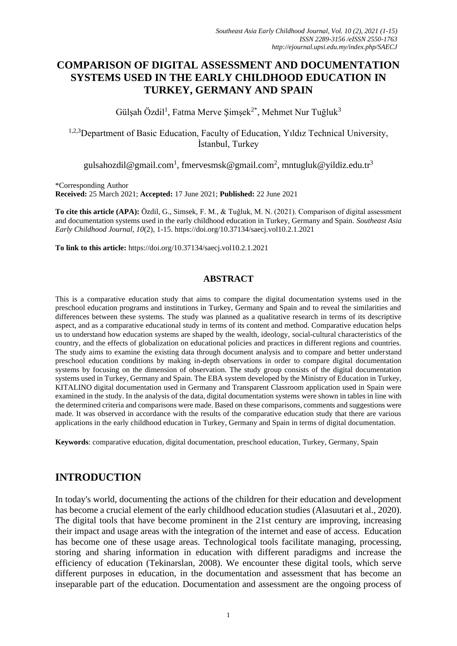# **COMPARISON OF DIGITAL ASSESSMENT AND DOCUMENTATION SYSTEMS USED IN THE EARLY CHILDHOOD EDUCATION IN TURKEY, GERMANY AND SPAIN**

Gülşah Özdil<sup>1</sup>, Fatma Merve Şimşek<sup>2\*</sup>, Mehmet Nur Tuğluk<sup>3</sup>

<sup>1,2,3</sup>Department of Basic Education, Faculty of Education, Yıldız Technical University, İstanbul, Turkey

[gulsahozdil@gmail.com](mailto:gulsahozdil@gmail.com)<sup>1</sup>, [fmervesmsk@gmail.com](mailto:fmervesmsk@gmail.com)<sup>2</sup>, mntugluk@yildiz.edu.tr<sup>3</sup>

\*Corresponding Author

**Received:** 25 March 2021; **Accepted:** 17 June 2021; **Published:** 22 June 2021

**To cite this article (APA):** Özdil, G., Simsek, F. M., & Tuğluk, M. N. (2021). Comparison of digital assessment and documentation systems used in the early childhood education in Turkey, Germany and Spain. *Southeast Asia Early Childhood Journal*, *10*(2), 1-15. https://doi.org/10.37134/saecj.vol10.2.1.2021

**To link to this article:** https://doi.org/10.37134/saecj.vol10.2.1.2021

#### **ABSTRACT**

This is a comparative education study that aims to compare the digital documentation systems used in the preschool education programs and institutions in Turkey, Germany and Spain and to reveal the similarities and differences between these systems. The study was planned as a qualitative research in terms of its descriptive aspect, and as a comparative educational study in terms of its content and method. Comparative education helps us to understand how education systems are shaped by the wealth, ideology, social-cultural characteristics of the country, and the effects of globalization on educational policies and practices in different regions and countries. The study aims to examine the existing data through document analysis and to compare and better understand preschool education conditions by making in-depth observations in order to compare digital documentation systems by focusing on the dimension of observation. The study group consists of the digital documentation systems used in Turkey, Germany and Spain. The EBA system developed by the Ministry of Education in Turkey, KITALINO digital documentation used in Germany and Transparent Classroom application used in Spain were examined in the study. In the analysis of the data, digital documentation systems were shown in tables in line with the determined criteria and comparisons were made. Based on these comparisons, comments and suggestions were made. It was observed in accordance with the results of the comparative education study that there are various applications in the early childhood education in Turkey, Germany and Spain in terms of digital documentation.

**Keywords**: comparative education, digital documentation, preschool education, Turkey, Germany, Spain

## **INTRODUCTION**

In today's world, documenting the actions of the children for their education and development has become a crucial element of the early childhood education studies (Alasuutari et al., 2020). The digital tools that have become prominent in the 21st century are improving, increasing their impact and usage areas with the integration of the internet and ease of access. Education has become one of these usage areas. Technological tools facilitate managing, processing, storing and sharing information in education with different paradigms and increase the efficiency of education (Tekinarslan, 2008). We encounter these digital tools, which serve different purposes in education, in the documentation and assessment that has become an inseparable part of the education. Documentation and assessment are the ongoing process of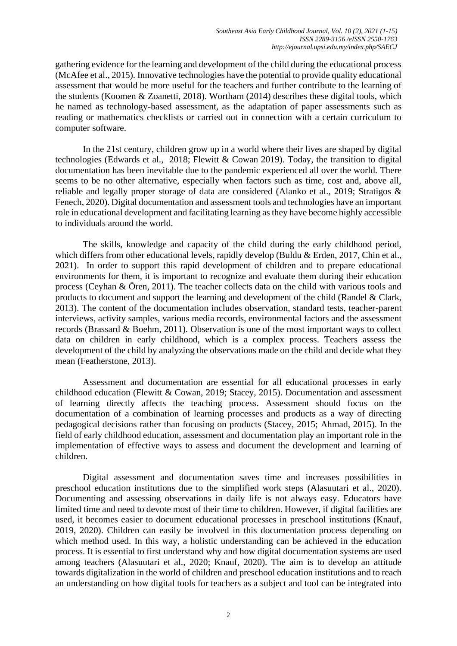gathering evidence for the learning and development of the child during the educational process (McAfee et al., 2015). Innovative technologies have the potential to provide quality educational assessment that would be more useful for the teachers and further contribute to the learning of the students (Koomen & Zoanetti, 2018). Wortham (2014) describes these digital tools, which he named as technology-based assessment, as the adaptation of paper assessments such as reading or mathematics checklists or carried out in connection with a certain curriculum to computer software.

In the 21st century, children grow up in a world where their lives are shaped by digital technologies (Edwards et al., 2018; Flewitt & Cowan 2019). Today, the transition to digital documentation has been inevitable due to the pandemic experienced all over the world. There seems to be no other alternative, especially when factors such as time, cost and, above all, reliable and legally proper storage of data are considered (Alanko et al., 2019; Stratigos & Fenech, 2020). Digital documentation and assessment tools and technologies have an important role in educational development and facilitating learning as they have become highly accessible to individuals around the world.

The skills, knowledge and capacity of the child during the early childhood period, which differs from other educational levels, rapidly develop (Buldu & Erden, 2017, Chin et al., 2021). In order to support this rapid development of children and to prepare educational environments for them, it is important to recognize and evaluate them during their education process (Ceyhan & Ören, 2011). The teacher collects data on the child with various tools and products to document and support the learning and development of the child (Randel & Clark, 2013). The content of the documentation includes observation, standard tests, teacher-parent interviews, activity samples, various media records, environmental factors and the assessment records (Brassard & Boehm, 2011). Observation is one of the most important ways to collect data on children in early childhood, which is a complex process. Teachers assess the development of the child by analyzing the observations made on the child and decide what they mean (Featherstone, 2013).

Assessment and documentation are essential for all educational processes in early childhood education (Flewitt & Cowan, 2019; Stacey, 2015). Documentation and assessment of learning directly affects the teaching process. Assessment should focus on the documentation of a combination of learning processes and products as a way of directing pedagogical decisions rather than focusing on products (Stacey, 2015; Ahmad, 2015). In the field of early childhood education, assessment and documentation play an important role in the implementation of effective ways to assess and document the development and learning of children.

Digital assessment and documentation saves time and increases possibilities in preschool education institutions due to the simplified work steps (Alasuutari et al., 2020). Documenting and assessing observations in daily life is not always easy. Educators have limited time and need to devote most of their time to children. However, if digital facilities are used, it becomes easier to document educational processes in preschool institutions (Knauf, 2019, 2020). Children can easily be involved in this documentation process depending on which method used. In this way, a holistic understanding can be achieved in the education process. It is essential to first understand why and how digital documentation systems are used among teachers (Alasuutari et al., 2020; Knauf, 2020). The aim is to develop an attitude towards digitalization in the world of children and preschool education institutions and to reach an understanding on how digital tools for teachers as a subject and tool can be integrated into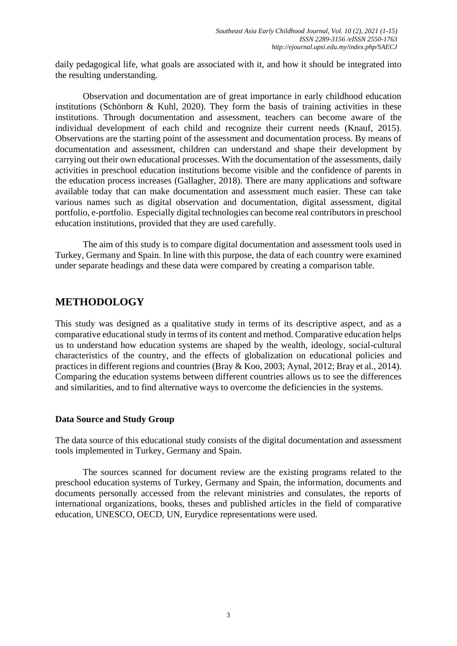daily pedagogical life, what goals are associated with it, and how it should be integrated into the resulting understanding.

Observation and documentation are of great importance in early childhood education institutions (Schönborn & Kuhl, 2020). They form the basis of training activities in these institutions. Through documentation and assessment, teachers can become aware of the individual development of each child and recognize their current needs (Knauf, 2015). Observations are the starting point of the assessment and documentation process. By means of documentation and assessment, children can understand and shape their development by carrying out their own educational processes. With the documentation of the assessments, daily activities in preschool education institutions become visible and the confidence of parents in the education process increases (Gallagher, 2018). There are many applications and software available today that can make documentation and assessment much easier. These can take various names such as digital observation and documentation, digital assessment, digital portfolio, e-portfolio. Especially digital technologies can become real contributors in preschool education institutions, provided that they are used carefully.

The aim of this study is to compare digital documentation and assessment tools used in Turkey, Germany and Spain. In line with this purpose, the data of each country were examined under separate headings and these data were compared by creating a comparison table.

## **METHODOLOGY**

This study was designed as a qualitative study in terms of its descriptive aspect, and as a comparative educational study in terms of its content and method. Comparative education helps us to understand how education systems are shaped by the wealth, ideology, social-cultural characteristics of the country, and the effects of globalization on educational policies and practices in different regions and countries (Bray & Koo, 2003; Aynal, 2012; Bray et al., 2014). Comparing the education systems between different countries allows us to see the differences and similarities, and to find alternative ways to overcome the deficiencies in the systems.

#### **Data Source and Study Group**

The data source of this educational study consists of the digital documentation and assessment tools implemented in Turkey, Germany and Spain.

The sources scanned for document review are the existing programs related to the preschool education systems of Turkey, Germany and Spain, the information, documents and documents personally accessed from the relevant ministries and consulates, the reports of international organizations, books, theses and published articles in the field of comparative education, UNESCO, OECD, UN, Eurydice representations were used.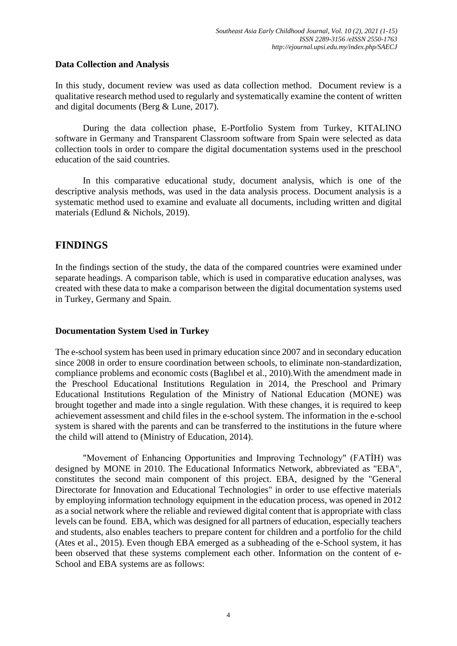#### **Data Collection and Analysis**

In this study, document review was used as data collection method. Document review is a qualitative research method used to regularly and systematically examine the content of written and digital documents (Berg & Lune, 2017).

During the data collection phase, E-Portfolio System from Turkey, KITALINO software in Germany and Transparent Classroom software from Spain were selected as data collection tools in order to compare the digital documentation systems used in the preschool education of the said countries.

In this comparative educational study, document analysis, which is one of the descriptive analysis methods, was used in the data analysis process. Document analysis is a systematic method used to examine and evaluate all documents, including written and digital materials (Edlund & Nichols, 2019).

# **FINDINGS**

In the findings section of the study, the data of the compared countries were examined under separate headings. A comparison table, which is used in comparative education analyses, was created with these data to make a comparison between the digital documentation systems used in Turkey, Germany and Spain.

## **Documentation System Used in Turkey**

The e-school system has been used in primary education since 2007 and in secondary education since 2008 in order to ensure coordination between schools, to eliminate non-standardization, compliance problems and economic costs (Baglıbel et al., 2010).With the amendment made in the Preschool Educational Institutions Regulation in 2014, the Preschool and Primary Educational Institutions Regulation of the Ministry of National Education (MONE) was brought together and made into a single regulation. With these changes, it is required to keep achievement assessment and child files in the e-school system. The information in the e-school system is shared with the parents and can be transferred to the institutions in the future where the child will attend to (Ministry of Education, 2014).

"Movement of Enhancing Opportunities and Improving Technology" (FATİH) was designed by MONE in 2010. The Educational Informatics Network, abbreviated as "EBA", constitutes the second main component of this project. EBA, designed by the "General Directorate for Innovation and Educational Technologies" in order to use effective materials by employing information technology equipment in the education process, was opened in 2012 as a social network where the reliable and reviewed digital content that is appropriate with class levels can be found. EBA, which was designed for all partners of education, especially teachers and students, also enables teachers to prepare content for children and a portfolio for the child (Ates et al., 2015). Even though EBA emerged as a subheading of the e-School system, it has been observed that these systems complement each other. Information on the content of e-School and EBA systems are as follows: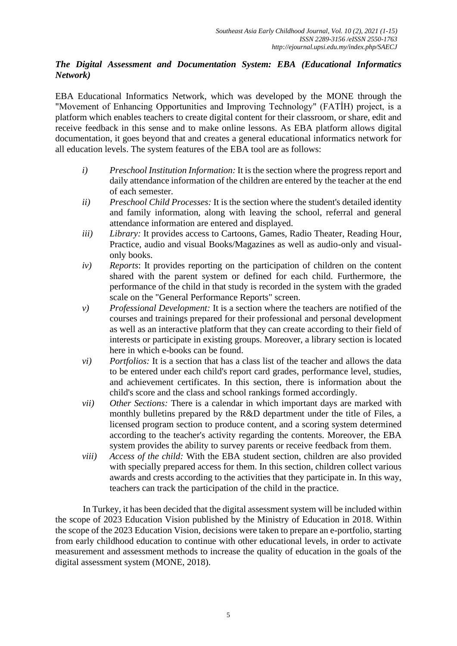### *The Digital Assessment and Documentation System: EBA (Educational Informatics Network)*

EBA Educational Informatics Network, which was developed by the MONE through the "Movement of Enhancing Opportunities and Improving Technology" (FATİH) project, is a platform which enables teachers to create digital content for their classroom, or share, edit and receive feedback in this sense and to make online lessons. As EBA platform allows digital documentation, it goes beyond that and creates a general educational informatics network for all education levels. The system features of the EBA tool are as follows:

- *i) Preschool Institution Information:* It is the section where the progress report and daily attendance information of the children are entered by the teacher at the end of each semester.
- *ii) Preschool Child Processes:* It is the section where the student's detailed identity and family information, along with leaving the school, referral and general attendance information are entered and displayed.
- *iii) Library:* It provides access to Cartoons, Games, Radio Theater, Reading Hour, Practice, audio and visual Books/Magazines as well as audio-only and visualonly books.
- *iv) Reports*: It provides reporting on the participation of children on the content shared with the parent system or defined for each child. Furthermore, the performance of the child in that study is recorded in the system with the graded scale on the "General Performance Reports" screen.
- *v) Professional Development:* It is a section where the teachers are notified of the courses and trainings prepared for their professional and personal development as well as an interactive platform that they can create according to their field of interests or participate in existing groups. Moreover, a library section is located here in which e-books can be found.
- *vi) Portfolios:* It is a section that has a class list of the teacher and allows the data to be entered under each child's report card grades, performance level, studies, and achievement certificates. In this section, there is information about the child's score and the class and school rankings formed accordingly.
- *vii) Other Sections:* There is a calendar in which important days are marked with monthly bulletins prepared by the R&D department under the title of Files, a licensed program section to produce content, and a scoring system determined according to the teacher's activity regarding the contents. Moreover, the EBA system provides the ability to survey parents or receive feedback from them.
- *viii) Access of the child:* With the EBA student section, children are also provided with specially prepared access for them. In this section, children collect various awards and crests according to the activities that they participate in. In this way, teachers can track the participation of the child in the practice.

In Turkey, it has been decided that the digital assessment system will be included within the scope of 2023 Education Vision published by the Ministry of Education in 2018. Within the scope of the 2023 Education Vision, decisions were taken to prepare an e-portfolio, starting from early childhood education to continue with other educational levels, in order to activate measurement and assessment methods to increase the quality of education in the goals of the digital assessment system (MONE, 2018).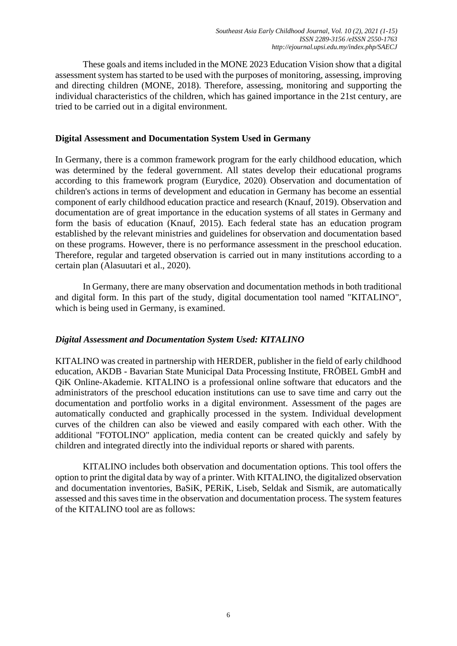These goals and items included in the MONE 2023 Education Vision show that a digital assessment system has started to be used with the purposes of monitoring, assessing, improving and directing children (MONE, 2018). Therefore, assessing, monitoring and supporting the individual characteristics of the children, which has gained importance in the 21st century, are tried to be carried out in a digital environment.

#### **Digital Assessment and Documentation System Used in Germany**

In Germany, there is a common framework program for the early childhood education, which was determined by the federal government. All states develop their educational programs according to this framework program (Eurydice, 2020). Observation and documentation of children's actions in terms of development and education in Germany has become an essential component of early childhood education practice and research (Knauf, 2019). Observation and documentation are of great importance in the education systems of all states in Germany and form the basis of education (Knauf, 2015). Each federal state has an education program established by the relevant ministries and guidelines for observation and documentation based on these programs. However, there is no performance assessment in the preschool education. Therefore, regular and targeted observation is carried out in many institutions according to a certain plan (Alasuutari et al., 2020).

In Germany, there are many observation and documentation methods in both traditional and digital form. In this part of the study, digital documentation tool named "KITALINO", which is being used in Germany, is examined.

#### *Digital Assessment and Documentation System Used: KITALINO*

KITALINO was created in partnership with HERDER, publisher in the field of early childhood education, AKDB - Bavarian State Municipal Data Processing Institute, FRÖBEL GmbH and QiK Online-Akademie. KITALINO is a professional online software that educators and the administrators of the preschool education institutions can use to save time and carry out the documentation and portfolio works in a digital environment. Assessment of the pages are automatically conducted and graphically processed in the system. Individual development curves of the children can also be viewed and easily compared with each other. With the additional "FOTOLINO" application, media content can be created quickly and safely by children and integrated directly into the individual reports or shared with parents.

KITALINO includes both observation and documentation options. This tool offers the option to print the digital data by way of a printer. With KITALINO, the digitalized observation and documentation inventories, BaSiK, PERiK, Liseb, Seldak and Sismik, are automatically assessed and this saves time in the observation and documentation process. The system features of the KITALINO tool are as follows: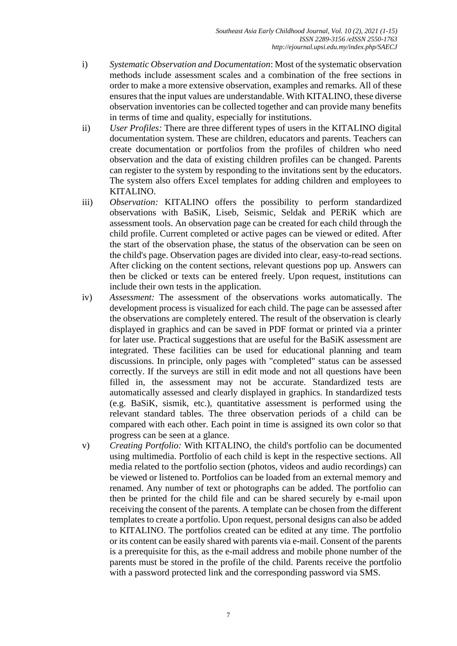- i) *Systematic Observation and Documentation*: Most of the systematic observation methods include assessment scales and a combination of the free sections in order to make a more extensive observation, examples and remarks. All of these ensures that the input values are understandable. With KITALINO, these diverse observation inventories can be collected together and can provide many benefits in terms of time and quality, especially for institutions.
- ii) *User Profiles:* There are three different types of users in the KITALINO digital documentation system. These are children, educators and parents. Teachers can create documentation or portfolios from the profiles of children who need observation and the data of existing children profiles can be changed. Parents can register to the system by responding to the invitations sent by the educators. The system also offers Excel templates for adding children and employees to KITALINO.
- iii) *Observation:* KITALINO offers the possibility to perform standardized observations with BaSiK, Liseb, Seismic, Seldak and PERiK which are assessment tools. An observation page can be created for each child through the child profile. Current completed or active pages can be viewed or edited. After the start of the observation phase, the status of the observation can be seen on the child's page. Observation pages are divided into clear, easy-to-read sections. After clicking on the content sections, relevant questions pop up. Answers can then be clicked or texts can be entered freely. Upon request, institutions can include their own tests in the application.
- iv) *Assessment:* The assessment of the observations works automatically. The development process is visualized for each child. The page can be assessed after the observations are completely entered. The result of the observation is clearly displayed in graphics and can be saved in PDF format or printed via a printer for later use. Practical suggestions that are useful for the BaSiK assessment are integrated. These facilities can be used for educational planning and team discussions. In principle, only pages with "completed" status can be assessed correctly. If the surveys are still in edit mode and not all questions have been filled in, the assessment may not be accurate. Standardized tests are automatically assessed and clearly displayed in graphics. In standardized tests (e.g. BaSiK, sismik, etc.), quantitative assessment is performed using the relevant standard tables. The three observation periods of a child can be compared with each other. Each point in time is assigned its own color so that progress can be seen at a glance.
- v) *Creating Portfolio:* With KITALINO, the child's portfolio can be documented using multimedia. Portfolio of each child is kept in the respective sections. All media related to the portfolio section (photos, videos and audio recordings) can be viewed or listened to. Portfolios can be loaded from an external memory and renamed. Any number of text or photographs can be added. The portfolio can then be printed for the child file and can be shared securely by e-mail upon receiving the consent of the parents. A template can be chosen from the different templates to create a portfolio. Upon request, personal designs can also be added to KITALINO. The portfolios created can be edited at any time. The portfolio or its content can be easily shared with parents via e-mail. Consent of the parents is a prerequisite for this, as the e-mail address and mobile phone number of the parents must be stored in the profile of the child. Parents receive the portfolio with a password protected link and the corresponding password via SMS.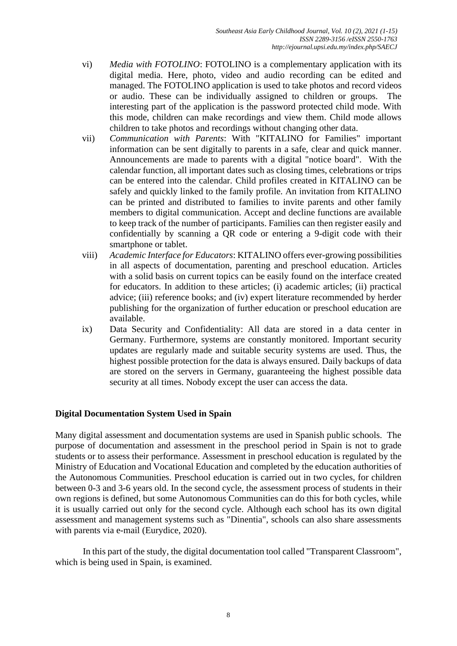- vi) *Media with FOTOLINO*: FOTOLINO is a complementary application with its digital media. Here, photo, video and audio recording can be edited and managed. The FOTOLINO application is used to take photos and record videos or audio. These can be individually assigned to children or groups. The interesting part of the application is the password protected child mode. With this mode, children can make recordings and view them. Child mode allows children to take photos and recordings without changing other data.
- vii) *Communication with Parents*: With "KITALINO for Families" important information can be sent digitally to parents in a safe, clear and quick manner. Announcements are made to parents with a digital "notice board". With the calendar function, all important dates such as closing times, celebrations or trips can be entered into the calendar. Child profiles created in KITALINO can be safely and quickly linked to the family profile. An invitation from KITALINO can be printed and distributed to families to invite parents and other family members to digital communication. Accept and decline functions are available to keep track of the number of participants. Families can then register easily and confidentially by scanning a QR code or entering a 9-digit code with their smartphone or tablet.
- viii) *Academic Interface for Educators*: KITALINO offers ever-growing possibilities in all aspects of documentation, parenting and preschool education. Articles with a solid basis on current topics can be easily found on the interface created for educators. In addition to these articles; (i) academic articles; (ii) practical advice; (iii) reference books; and (iv) expert literature recommended by herder publishing for the organization of further education or preschool education are available.
- ix) Data Security and Confidentiality: All data are stored in a data center in Germany. Furthermore, systems are constantly monitored. Important security updates are regularly made and suitable security systems are used. Thus, the highest possible protection for the data is always ensured. Daily backups of data are stored on the servers in Germany, guaranteeing the highest possible data security at all times. Nobody except the user can access the data.

#### **Digital Documentation System Used in Spain**

Many digital assessment and documentation systems are used in Spanish public schools. The purpose of documentation and assessment in the preschool period in Spain is not to grade students or to assess their performance. Assessment in preschool education is regulated by the Ministry of Education and Vocational Education and completed by the education authorities of the Autonomous Communities. Preschool education is carried out in two cycles, for children between 0-3 and 3-6 years old. In the second cycle, the assessment process of students in their own regions is defined, but some Autonomous Communities can do this for both cycles, while it is usually carried out only for the second cycle. Although each school has its own digital assessment and management systems such as "Dinentia", schools can also share assessments with parents via e-mail (Eurydice, 2020).

In this part of the study, the digital documentation tool called "Transparent Classroom", which is being used in Spain, is examined.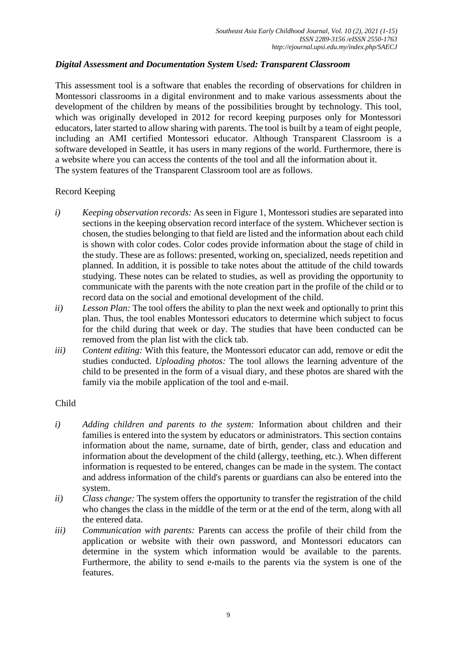### *Digital Assessment and Documentation System Used: Transparent Classroom*

This assessment tool is a software that enables the recording of observations for children in Montessori classrooms in a digital environment and to make various assessments about the development of the children by means of the possibilities brought by technology. This tool, which was originally developed in 2012 for record keeping purposes only for Montessori educators, later started to allow sharing with parents. The tool is built by a team of eight people, including an AMI certified Montessori educator. Although Transparent Classroom is a software developed in Seattle, it has users in many regions of the world. Furthermore, there is a website where you can access the contents of the tool and all the information about it. The system features of the Transparent Classroom tool are as follows.

### Record Keeping

- *i) Keeping observation records:* As seen in Figure 1, Montessori studies are separated into sections in the keeping observation record interface of the system. Whichever section is chosen, the studies belonging to that field are listed and the information about each child is shown with color codes. Color codes provide information about the stage of child in the study. These are as follows: presented, working on, specialized, needs repetition and planned. In addition, it is possible to take notes about the attitude of the child towards studying. These notes can be related to studies, as well as providing the opportunity to communicate with the parents with the note creation part in the profile of the child or to record data on the social and emotional development of the child.
- *ii) Lesson Plan:* The tool offers the ability to plan the next week and optionally to print this plan. Thus, the tool enables Montessori educators to determine which subject to focus for the child during that week or day. The studies that have been conducted can be removed from the plan list with the click tab.
- *iii) Content editing:* With this feature, the Montessori educator can add, remove or edit the studies conducted. *Uploading photos:* The tool allows the learning adventure of the child to be presented in the form of a visual diary, and these photos are shared with the family via the mobile application of the tool and e-mail.

#### Child

- *i) Adding children and parents to the system:* Information about children and their families is entered into the system by educators or administrators. This section contains information about the name, surname, date of birth, gender, class and education and information about the development of the child (allergy, teething, etc.). When different information is requested to be entered, changes can be made in the system. The contact and address information of the child's parents or guardians can also be entered into the system.
- *ii) Class change:* The system offers the opportunity to transfer the registration of the child who changes the class in the middle of the term or at the end of the term, along with all the entered data.
- *iii) Communication with parents:* Parents can access the profile of their child from the application or website with their own password, and Montessori educators can determine in the system which information would be available to the parents. Furthermore, the ability to send e-mails to the parents via the system is one of the features.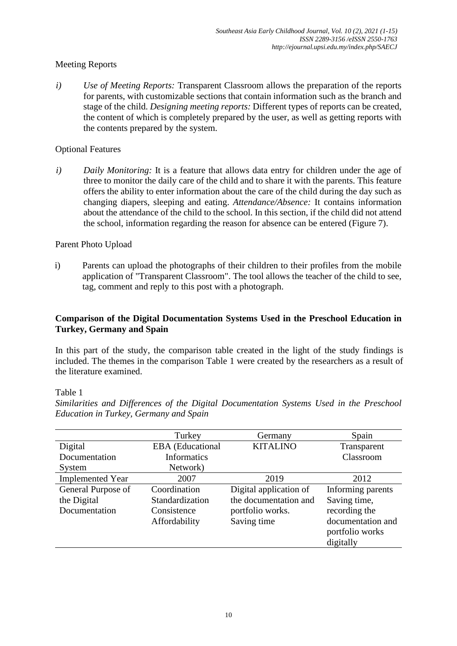## Meeting Reports

*i) Use of Meeting Reports:* Transparent Classroom allows the preparation of the reports for parents, with customizable sections that contain information such as the branch and stage of the child. *Designing meeting reports:* Different types of reports can be created, the content of which is completely prepared by the user, as well as getting reports with the contents prepared by the system.

### Optional Features

*i) Daily Monitoring:* It is a feature that allows data entry for children under the age of three to monitor the daily care of the child and to share it with the parents. This feature offers the ability to enter information about the care of the child during the day such as changing diapers, sleeping and eating. *Attendance/Absence:* It contains information about the attendance of the child to the school. In this section, if the child did not attend the school, information regarding the reason for absence can be entered (Figure 7).

### Parent Photo Upload

i) Parents can upload the photographs of their children to their profiles from the mobile application of "Transparent Classroom". The tool allows the teacher of the child to see, tag, comment and reply to this post with a photograph.

### **Comparison of the Digital Documentation Systems Used in the Preschool Education in Turkey, Germany and Spain**

In this part of the study, the comparison table created in the light of the study findings is included. The themes in the comparison Table 1 were created by the researchers as a result of the literature examined.

Table 1

*Similarities and Differences of the Digital Documentation Systems Used in the Preschool Education in Turkey, Germany and Spain*

|                         | Turkey                  | Germany                | Spain             |
|-------------------------|-------------------------|------------------------|-------------------|
| Digital                 | <b>EBA</b> (Educational | <b>KITALINO</b>        | Transparent       |
| Documentation           | <b>Informatics</b>      |                        | Classroom         |
| System                  | Network)                |                        |                   |
| <b>Implemented Year</b> | 2007                    | 2019                   | 2012              |
| General Purpose of      | Coordination            | Digital application of | Informing parents |
| the Digital             | Standardization         | the documentation and  | Saving time,      |
| Documentation           | Consistence             | portfolio works.       | recording the     |
|                         | Affordability           | Saving time            | documentation and |
|                         |                         |                        | portfolio works   |
|                         |                         |                        | digitally         |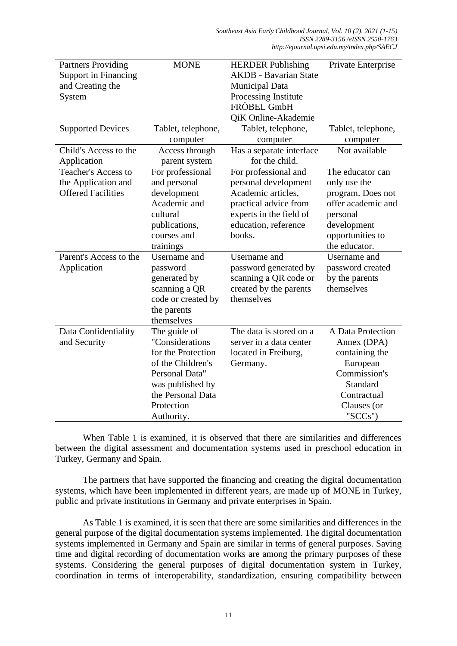| <b>Partners Providing</b>   | <b>MONE</b>        | <b>HERDER Publishing</b>     | Private Enterprise |
|-----------------------------|--------------------|------------------------------|--------------------|
| <b>Support in Financing</b> |                    | <b>AKDB</b> - Bavarian State |                    |
| and Creating the            |                    | <b>Municipal Data</b>        |                    |
| System                      |                    | Processing Institute         |                    |
|                             |                    | FRÖBEL GmbH                  |                    |
|                             |                    | <b>QiK Online-Akademie</b>   |                    |
| <b>Supported Devices</b>    | Tablet, telephone, | Tablet, telephone,           | Tablet, telephone, |
|                             | computer           | computer                     | computer           |
| Child's Access to the       | Access through     | Has a separate interface     | Not available      |
| Application                 | parent system      | for the child.               |                    |
| <b>Teacher's Access to</b>  | For professional   | For professional and         | The educator can   |
| the Application and         | and personal       | personal development         | only use the       |
| <b>Offered Facilities</b>   | development        | Academic articles,           | program. Does not  |
|                             | Academic and       | practical advice from        | offer academic and |
|                             | cultural           | experts in the field of      | personal           |
|                             | publications,      | education, reference         | development        |
|                             | courses and        | books.                       | opportunities to   |
|                             | trainings          |                              | the educator.      |
| Parent's Access to the      | Username and       | Username and                 | Username and       |
| Application                 | password           | password generated by        | password created   |
|                             | generated by       | scanning a QR code or        | by the parents     |
|                             | scanning a QR      | created by the parents       | themselves         |
|                             | code or created by | themselves                   |                    |
|                             | the parents        |                              |                    |
|                             | themselves         |                              |                    |
| Data Confidentiality        | The guide of       | The data is stored on a      | A Data Protection  |
| and Security                | "Considerations    | server in a data center      | Annex (DPA)        |
|                             | for the Protection | located in Freiburg,         | containing the     |
|                             | of the Children's  | Germany.                     | European           |
|                             | Personal Data"     |                              | Commission's       |
|                             | was published by   |                              | <b>Standard</b>    |
|                             | the Personal Data  |                              | Contractual        |
|                             | Protection         |                              | Clauses (or        |
|                             | Authority.         |                              | " $SCCs$ ")        |

When Table 1 is examined, it is observed that there are similarities and differences between the digital assessment and documentation systems used in preschool education in Turkey, Germany and Spain.

The partners that have supported the financing and creating the digital documentation systems, which have been implemented in different years, are made up of MONE in Turkey, public and private institutions in Germany and private enterprises in Spain.

As Table 1 is examined, it is seen that there are some similarities and differences in the general purpose of the digital documentation systems implemented. The digital documentation systems implemented in Germany and Spain are similar in terms of general purposes. Saving time and digital recording of documentation works are among the primary purposes of these systems. Considering the general purposes of digital documentation system in Turkey, coordination in terms of interoperability, standardization, ensuring compatibility between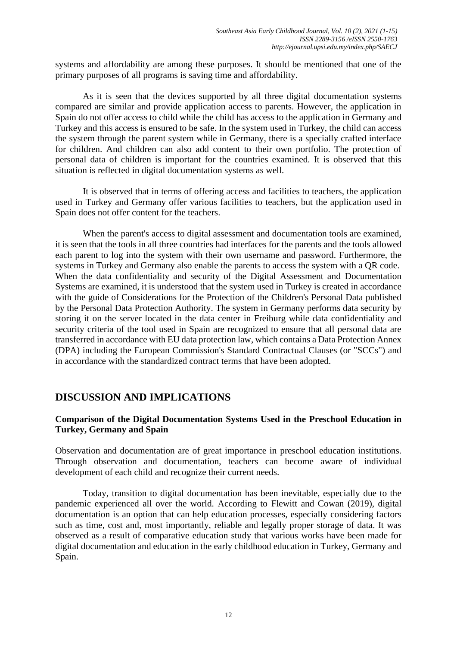systems and affordability are among these purposes. It should be mentioned that one of the primary purposes of all programs is saving time and affordability.

As it is seen that the devices supported by all three digital documentation systems compared are similar and provide application access to parents. However, the application in Spain do not offer access to child while the child has access to the application in Germany and Turkey and this access is ensured to be safe. In the system used in Turkey, the child can access the system through the parent system while in Germany, there is a specially crafted interface for children. And children can also add content to their own portfolio. The protection of personal data of children is important for the countries examined. It is observed that this situation is reflected in digital documentation systems as well.

It is observed that in terms of offering access and facilities to teachers, the application used in Turkey and Germany offer various facilities to teachers, but the application used in Spain does not offer content for the teachers.

When the parent's access to digital assessment and documentation tools are examined, it is seen that the tools in all three countries had interfaces for the parents and the tools allowed each parent to log into the system with their own username and password. Furthermore, the systems in Turkey and Germany also enable the parents to access the system with a QR code. When the data confidentiality and security of the Digital Assessment and Documentation Systems are examined, it is understood that the system used in Turkey is created in accordance with the guide of Considerations for the Protection of the Children's Personal Data published by the Personal Data Protection Authority. The system in Germany performs data security by storing it on the server located in the data center in Freiburg while data confidentiality and security criteria of the tool used in Spain are recognized to ensure that all personal data are transferred in accordance with EU data protection law, which contains a Data Protection Annex (DPA) including the European Commission's Standard Contractual Clauses (or "SCCs") and in accordance with the standardized contract terms that have been adopted.

# **DISCUSSION AND IMPLICATIONS**

### **Comparison of the Digital Documentation Systems Used in the Preschool Education in Turkey, Germany and Spain**

Observation and documentation are of great importance in preschool education institutions. Through observation and documentation, teachers can become aware of individual development of each child and recognize their current needs.

Today, transition to digital documentation has been inevitable, especially due to the pandemic experienced all over the world. According to Flewitt and Cowan (2019), digital documentation is an option that can help education processes, especially considering factors such as time, cost and, most importantly, reliable and legally proper storage of data. It was observed as a result of comparative education study that various works have been made for digital documentation and education in the early childhood education in Turkey, Germany and Spain.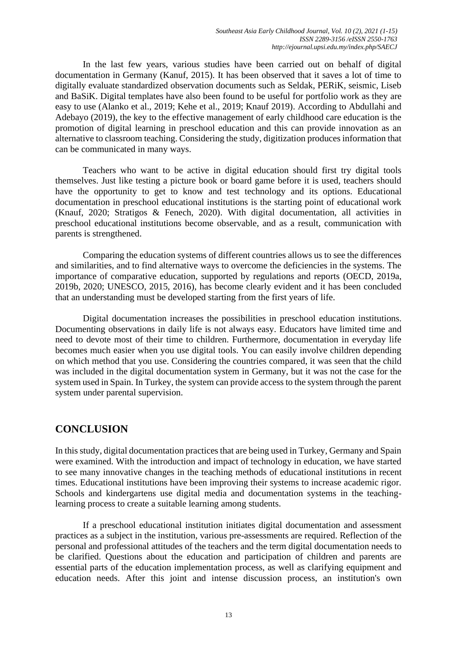In the last few years, various studies have been carried out on behalf of digital documentation in Germany (Kanuf, 2015). It has been observed that it saves a lot of time to digitally evaluate standardized observation documents such as Seldak, PERiK, seismic, Liseb and BaSiK. Digital templates have also been found to be useful for portfolio work as they are easy to use (Alanko et al., 2019; Kehe et al., 2019; Knauf 2019). According to Abdullahi and Adebayo (2019), the key to the effective management of early childhood care education is the promotion of digital learning in preschool education and this can provide innovation as an alternative to classroom teaching. Considering the study, digitization produces information that can be communicated in many ways.

Teachers who want to be active in digital education should first try digital tools themselves. Just like testing a picture book or board game before it is used, teachers should have the opportunity to get to know and test technology and its options. Educational documentation in preschool educational institutions is the starting point of educational work (Knauf, 2020; Stratigos & Fenech, 2020). With digital documentation, all activities in preschool educational institutions become observable, and as a result, communication with parents is strengthened.

Comparing the education systems of different countries allows us to see the differences and similarities, and to find alternative ways to overcome the deficiencies in the systems. The importance of comparative education, supported by regulations and reports (OECD, 2019a, 2019b, 2020; UNESCO, 2015, 2016), has become clearly evident and it has been concluded that an understanding must be developed starting from the first years of life.

Digital documentation increases the possibilities in preschool education institutions. Documenting observations in daily life is not always easy. Educators have limited time and need to devote most of their time to children. Furthermore, documentation in everyday life becomes much easier when you use digital tools. You can easily involve children depending on which method that you use. Considering the countries compared, it was seen that the child was included in the digital documentation system in Germany, but it was not the case for the system used in Spain. In Turkey, the system can provide access to the system through the parent system under parental supervision.

# **CONCLUSION**

In this study, digital documentation practices that are being used in Turkey, Germany and Spain were examined. With the introduction and impact of technology in education, we have started to see many innovative changes in the teaching methods of educational institutions in recent times. Educational institutions have been improving their systems to increase academic rigor. Schools and kindergartens use digital media and documentation systems in the teachinglearning process to create a suitable learning among students.

If a preschool educational institution initiates digital documentation and assessment practices as a subject in the institution, various pre-assessments are required. Reflection of the personal and professional attitudes of the teachers and the term digital documentation needs to be clarified. Questions about the education and participation of children and parents are essential parts of the education implementation process, as well as clarifying equipment and education needs. After this joint and intense discussion process, an institution's own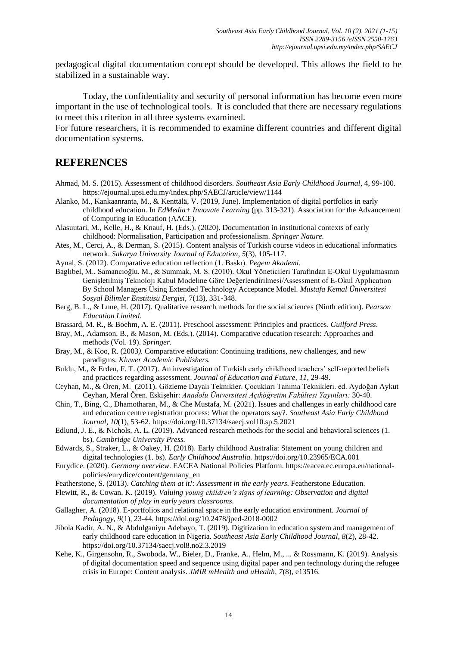pedagogical digital documentation concept should be developed. This allows the field to be stabilized in a sustainable way.

Today, the confidentiality and security of personal information has become even more important in the use of technological tools. It is concluded that there are necessary regulations to meet this criterion in all three systems examined.

For future researchers, it is recommended to examine different countries and different digital documentation systems.

## **REFERENCES**

- Ahmad, M. S. (2015). Assessment of childhood disorders. *Southeast Asia Early Childhood Journal*, 4, 99-100. https://ejournal.upsi.edu.my/index.php/SAECJ/article/view/1144
- Alanko, M., Kankaanranta, M., & Kenttälä, V. (2019, June). Implementation of digital portfolios in early childhood education. In *EdMedia+ Innovate Learning* (pp. 313-321). Association for the Advancement of Computing in Education (AACE).
- Alasuutari, M., Kelle, H., & Knauf, H. (Eds.). (2020). Documentation in institutional contexts of early childhood: Normalisation, Participation and professionalism. *Springer Nature.*
- Ates, M., Cerci, A., & Derman, S. (2015). Content analysis of Turkish course videos in educational informatics network. *Sakarya University Journal of Education*, *5*(3), 105-117.
- Aynal, S. (2012). Comparative education reflection (1. Baskı). *Pegem Akademi.*
- Baglıbel, M., Samancıoğlu, M., & Summak, M. S. (2010). Okul Yöneticileri Tarafından E-Okul Uygulamasının Genişletilmiş Teknoloji Kabul Modeline Göre Değerlendirilmesi/Assessment of E-Okul Applıcatıon By School Managers Using Extended Technology Acceptance Model. *Mustafa Kemal Üniversitesi Sosyal Bilimler Enstitüsü Dergisi,* 7(13), 331-348.
- Berg, B. L., & Lune, H. (2017). Qualitative research methods for the social sciences (Ninth edition). *Pearson Education Limited.*
- Brassard, M. R., & Boehm, A. E. (2011). Preschool assessment: Principles and practices. *Guilford Press*.
- Bray, M., Adamson, B., & Mason, M. (Eds.). (2014). Comparative education research: Approaches and method*s* (Vol. 19). *Springer*.
- Bray, M., & Koo, R. (2003*).* Comparative education: Continuing traditions, new challenges, and new paradigms. *Kluwer Academic Publishers.*
- Buldu, M., & Erden, F. T. (2017). An investigation of Turkish early childhood teachers' self-reported beliefs and practices regarding assessment. *Journal of Education and Future, 11*, 29-49.
- Ceyhan, M., & Ören, M. (2011)*.* Gözleme Dayalı Teknikler. Çocukları Tanıma Teknikleri. ed. Aydoğan Aykut Ceyhan, Meral Ören. Eskişehir: *Anadolu Üniversitesi Açıköğretim Fakültesi Yayınları:* 30-40.
- Chin, T., Bing, C., Dhamotharan, M., & Che Mustafa, M. (2021). Issues and challenges in early childhood care and education centre registration process: What the operators say?. *Southeast Asia Early Childhood Journal, 10*(1), 53-62. https://doi.org/10.37134/saecj.vol10.sp.5.2021
- Edlund, J. E., & Nichols, A. L. (2019). Advanced research methods for the social and behavioral sciences (1. bs). *Cambridge University Press.*
- Edwards, S., Straker, L., & Oakey, H. (2018). Early childhood Australia: Statement on young children and digital technologies (1. bs). *Early Childhood Australia.* https://doi.org/10.23965/ECA.001
- Eurydice. (2020). *Germany overview*. EACEA National Policies Platform. https://eacea.ec.europa.eu/nationalpolicies/eurydice/content/germany\_en
- Featherstone, S. (2013). *Catching them at it!: Assessment in the early years*. Featherstone Education*.*
- Flewitt, R., & Cowan, K. (2019). *Valuing young children's signs of learning: Observation and digital documentation of play in early years classrooms*.
- Gallagher, A. (2018). E-portfolios and relational space in the early education environment. *Journal of Pedagogy, 9*(1), 23-44*.* https://doi.org/10.2478/jped-2018-0002
- Jibola Kadir, A. N., & Abdulganiyu Adebayo, T. (2019). Digitization in education system and management of early childhood care education in Nigeria. *Southeast Asia Early Childhood Journal, 8*(2), 28-42. https://doi.org/10.37134/saecj.vol8.no2.3.2019
- Kehe, K., Girgensohn, R., Swoboda, W., Bieler, D., Franke, A., Helm, M., ... & Rossmann, K. (2019). Analysis of digital documentation speed and sequence using digital paper and pen technology during the refugee crisis in Europe: Content analysis. *JMIR mHealth and uHealth*, *7*(8), e13516.